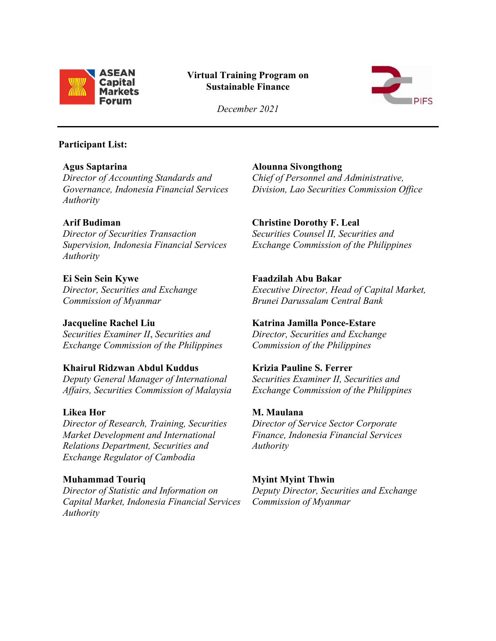

# **Virtual Training Program on Sustainable Finance**



*December 2021*

#### **Participant List:**

**Agus Saptarina** *Director of Accounting Standards and Governance, Indonesia Financial Services Authority*

## **Arif Budiman**

*Director of Securities Transaction Supervision, Indonesia Financial Services Authority*

**Ei Sein Sein Kywe** *Director, Securities and Exchange Commission of Myanmar*

**Jacqueline Rachel Liu** *Securities Examiner II*, *Securities and Exchange Commission of the Philippines*

**Khairul Ridzwan Abdul Kuddus** *Deputy General Manager of International Affairs, Securities Commission of Malaysia*

## **Likea Hor**

*Director of Research, Training, Securities Market Development and International Relations Department, Securities and Exchange Regulator of Cambodia*

## **Muhammad Touriq**

*Director of Statistic and Information on Capital Market, Indonesia Financial Services Authority*

**Alounna Sivongthong** *Chief of Personnel and Administrative, Division, Lao Securities Commission Office* 

## **Christine Dorothy F. Leal**

*Securities Counsel II, Securities and Exchange Commission of the Philippines*

### **Faadzilah Abu Bakar**

*Executive Director, Head of Capital Market, Brunei Darussalam Central Bank*

**Katrina Jamilla Ponce-Estare** *Director, Securities and Exchange Commission of the Philippines*

## **Krizia Pauline S. Ferrer**

*Securities Examiner II, Securities and Exchange Commission of the Philippines*

# **M. Maulana**

*Director of Service Sector Corporate Finance, Indonesia Financial Services Authority*

# **Myint Myint Thwin**

*Deputy Director, Securities and Exchange Commission of Myanmar*